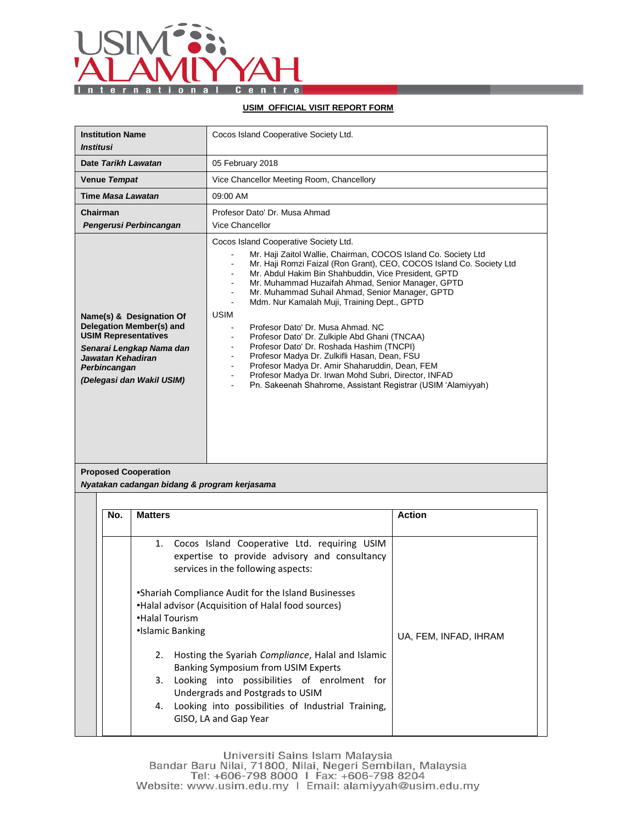

## **USIM OFFICIAL VISIT REPORT FORM**

| <b>Institution Name</b><br><i><b>Institusi</b></i>                                                                                                                                       |                                                            | Cocos Island Cooperative Society Ltd.                                                                                                                                                                                                                                                                                                                                                                                                                                                                                                                                                                                                                                                                                                                                                                                                                        |                       |  |
|------------------------------------------------------------------------------------------------------------------------------------------------------------------------------------------|------------------------------------------------------------|--------------------------------------------------------------------------------------------------------------------------------------------------------------------------------------------------------------------------------------------------------------------------------------------------------------------------------------------------------------------------------------------------------------------------------------------------------------------------------------------------------------------------------------------------------------------------------------------------------------------------------------------------------------------------------------------------------------------------------------------------------------------------------------------------------------------------------------------------------------|-----------------------|--|
| Date Tarikh Lawatan                                                                                                                                                                      |                                                            | 05 February 2018                                                                                                                                                                                                                                                                                                                                                                                                                                                                                                                                                                                                                                                                                                                                                                                                                                             |                       |  |
| Venue Tempat                                                                                                                                                                             |                                                            | Vice Chancellor Meeting Room, Chancellory                                                                                                                                                                                                                                                                                                                                                                                                                                                                                                                                                                                                                                                                                                                                                                                                                    |                       |  |
| Time Masa Lawatan                                                                                                                                                                        |                                                            | 09:00 AM                                                                                                                                                                                                                                                                                                                                                                                                                                                                                                                                                                                                                                                                                                                                                                                                                                                     |                       |  |
| Chairman                                                                                                                                                                                 | Pengerusi Perbincangan                                     | Profesor Dato' Dr. Musa Ahmad<br><b>Vice Chancellor</b>                                                                                                                                                                                                                                                                                                                                                                                                                                                                                                                                                                                                                                                                                                                                                                                                      |                       |  |
| Name(s) & Designation Of<br><b>Delegation Member(s) and</b><br><b>USIM Representatives</b><br>Senarai Lengkap Nama dan<br>Jawatan Kehadiran<br>Perbincangan<br>(Delegasi dan Wakil USIM) |                                                            | Cocos Island Cooperative Society Ltd.<br>Mr. Haji Zaitol Wallie, Chairman, COCOS Island Co. Society Ltd<br>Mr. Haji Romzi Faizal (Ron Grant), CEO, COCOS Island Co. Society Ltd<br>Mr. Abdul Hakim Bin Shahbuddin, Vice President, GPTD<br>$\blacksquare$<br>Mr. Muhammad Huzaifah Ahmad, Senior Manager, GPTD<br>$\sim$<br>Mr. Muhammad Suhail Ahmad, Senior Manager, GPTD<br>$\blacksquare$<br>Mdm. Nur Kamalah Muji, Training Dept., GPTD<br><b>USIM</b><br>Profesor Dato' Dr. Musa Ahmad. NC<br>Profesor Dato' Dr. Zulkiple Abd Ghani (TNCAA)<br>Profesor Dato' Dr. Roshada Hashim (TNCPI)<br>Profesor Madya Dr. Zulkifli Hasan, Dean, FSU<br>$\blacksquare$<br>Profesor Madya Dr. Amir Shaharuddin, Dean, FEM<br>$\blacksquare$<br>Profesor Madya Dr. Irwan Mohd Subri, Director, INFAD<br>Pn. Sakeenah Shahrome, Assistant Registrar (USIM 'Alamiyyah) |                       |  |
| <b>Proposed Cooperation</b><br>Nyatakan cadangan bidang & program kerjasama                                                                                                              |                                                            |                                                                                                                                                                                                                                                                                                                                                                                                                                                                                                                                                                                                                                                                                                                                                                                                                                                              |                       |  |
|                                                                                                                                                                                          |                                                            |                                                                                                                                                                                                                                                                                                                                                                                                                                                                                                                                                                                                                                                                                                                                                                                                                                                              |                       |  |
| No.                                                                                                                                                                                      | <b>Matters</b>                                             |                                                                                                                                                                                                                                                                                                                                                                                                                                                                                                                                                                                                                                                                                                                                                                                                                                                              | <b>Action</b>         |  |
|                                                                                                                                                                                          | 1.<br>•Halal Tourism<br>•Islamic Banking<br>2.<br>3.<br>4. | Cocos Island Cooperative Ltd. requiring USIM<br>expertise to provide advisory and consultancy<br>services in the following aspects:<br>•Shariah Compliance Audit for the Island Businesses<br>•Halal advisor (Acquisition of Halal food sources)<br>Hosting the Syariah Compliance, Halal and Islamic<br><b>Banking Symposium from USIM Experts</b><br>Looking into possibilities of enrolment for<br>Undergrads and Postgrads to USIM<br>Looking into possibilities of Industrial Training,<br>GISO, LA and Gap Year                                                                                                                                                                                                                                                                                                                                        | UA, FEM, INFAD, IHRAM |  |